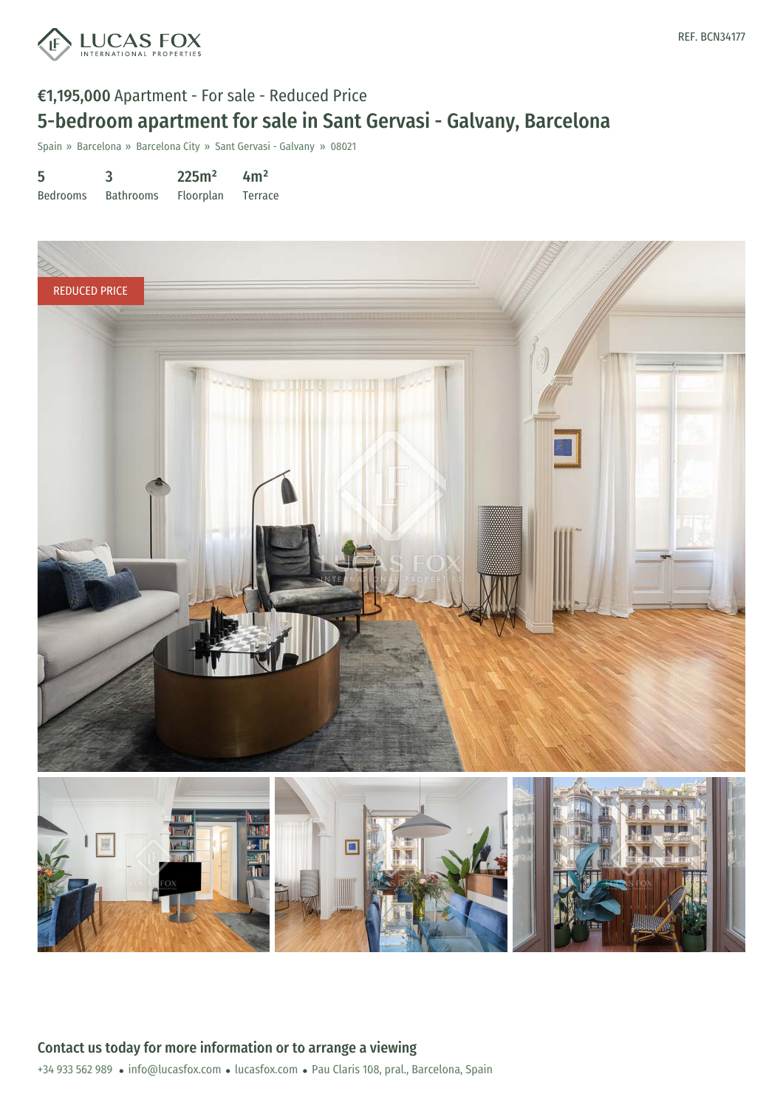

# €1,195,000 Apartment - For sale - Reduced Price 5-bedroom apartment for sale in Sant Gervasi - Galvany, Barcelona

Spain » Barcelona » Barcelona City » Sant Gervasi - Galvany » 08021

| 5               | 3                | 225m <sup>2</sup> | 4m <sup>2</sup> |
|-----------------|------------------|-------------------|-----------------|
| <b>Bedrooms</b> | <b>Bathrooms</b> | Floorplan         | Terrace         |

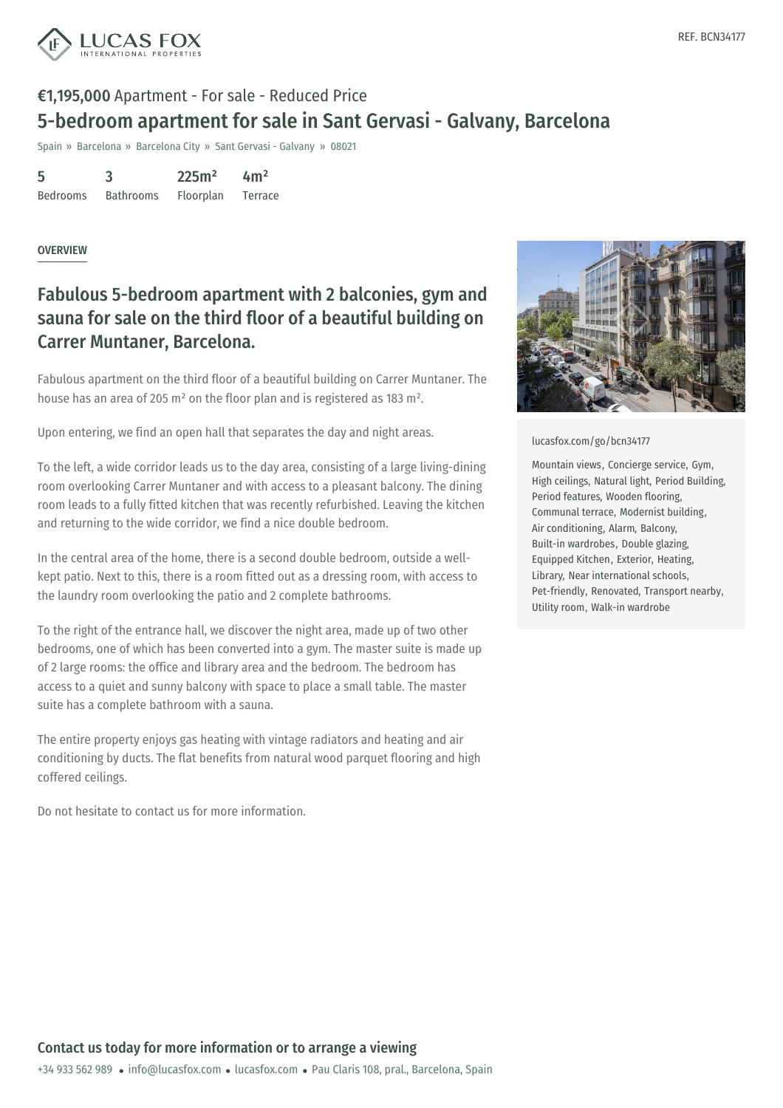

## €1,195,000 Apartment - For sale - Reduced Price 5-bedroom apartment for sale in Sant Gervasi - Galvany, Barcelona

Spain » Barcelona » Barcelona City » Sant Gervasi - Galvany » 08021

| 5               | 3                | 225m <sup>2</sup> | 4m <sup>2</sup> |
|-----------------|------------------|-------------------|-----------------|
| <b>Bedrooms</b> | <b>Bathrooms</b> | Floorplan         | Terrace         |

### OVERVIEW

## Fabulous 5-bedroom apartment with 2 balconies, gym and sauna for sale on the third floor of a beautiful building on Carrer Muntaner, Barcelona.

Fabulous apartment on the third floor of a beautiful building on Carrer Muntaner. The house has an area of 205 m² on the floor plan and is registered as 183 m².

Upon entering, we find an open hall that separates the day and night areas.

To the left, a wide corridor leads us to the day area, consisting of a large living-dining room overlooking Carrer Muntaner and with access to a pleasant balcony. The dining room leads to a fully fitted kitchen that was recently refurbished. Leaving the kitchen and returning to the wide corridor, we find a nice double bedroom.

In the central area of the home, there is a second double bedroom, outside a wellkept patio. Next to this, there is a room fitted out as a dressing room, with access to the laundry room overlooking the patio and 2 complete bathrooms.

To the right of the entrance hall, we discover the night area, made up of two other bedrooms, one of which has been converted into a gym. The master suite is made up of 2 large rooms: the office and library area and the bedroom. The bedroom has access to a quiet and sunny balcony with space to place a small table. The master suite has a complete bathroom with a sauna.

The entire property enjoys gas heating with vintage radiators and heating and air conditioning by ducts. The flat benefits from natural wood parquet flooring and high coffered ceilings.

Do not hesitate to contact us for more information.



#### [lucasfox.com/go/bcn34177](https://www.lucasfox.com/go/bcn34177)

Mountain views, Concierge service, Gym, High ceilings, Natural light, Period Building, Period features, Wooden flooring, Communal terrace, Modernist building, Air conditioning, Alarm, Balcony, Built-in wardrobes, Double glazing, Equipped Kitchen, Exterior, Heating, Library, Near international schools, Pet-friendly, Renovated, Transport nearby, Utility room, Walk-in wardrobe